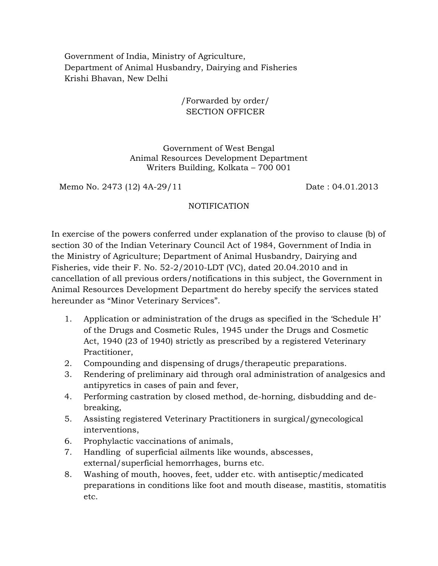Government of India, Ministry of Agriculture, Department of Animal Husbandry, Dairying and Fisheries Krishi Bhavan, New Delhi

> /Forwarded by order/ SECTION OFFICER

Government of West Bengal Animal Resources Development Department Writers Building, Kolkata – 700 001

Memo No. 2473 (12) 4A-29/11 Date: 04.01.2013

## NOTIFICATION

In exercise of the powers conferred under explanation of the proviso to clause (b) of section 30 of the Indian Veterinary Council Act of 1984, Government of India in the Ministry of Agriculture; Department of Animal Husbandry, Dairying and Fisheries, vide their F. No. 52-2/2010-LDT (VC), dated 20.04.2010 and in cancellation of all previous orders/notifications in this subject, the Government in Animal Resources Development Department do hereby specify the services stated hereunder as "Minor Veterinary Services".

- 1. Application or administration of the drugs as specified in the 'Schedule H' of the Drugs and Cosmetic Rules, 1945 under the Drugs and Cosmetic Act, 1940 (23 of 1940) strictly as prescribed by a registered Veterinary Practitioner,
- 2. Compounding and dispensing of drugs/therapeutic preparations.
- 3. Rendering of preliminary aid through oral administration of analgesics and antipyretics in cases of pain and fever,
- 4. Performing castration by closed method, de-horning, disbudding and debreaking,
- 5. Assisting registered Veterinary Practitioners in surgical/gynecological interventions,
- 6. Prophylactic vaccinations of animals,
- 7. Handling of superficial ailments like wounds, abscesses, external/superficial hemorrhages, burns etc.
- 8. Washing of mouth, hooves, feet, udder etc. with antiseptic/medicated preparations in conditions like foot and mouth disease, mastitis, stomatitis etc.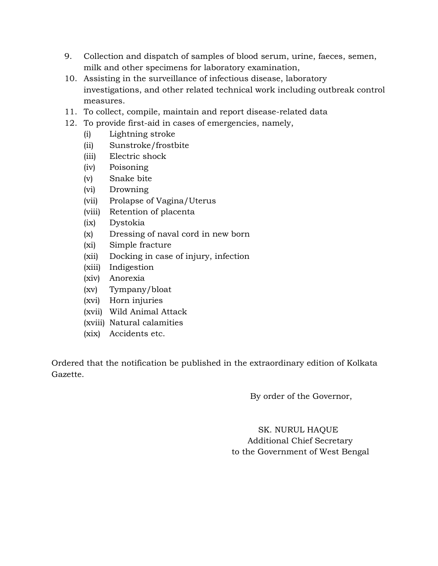- 9. Collection and dispatch of samples of blood serum, urine, faeces, semen, milk and other specimens for laboratory examination,
- 10. Assisting in the surveillance of infectious disease, laboratory investigations, and other related technical work including outbreak control measures.
- 11. To collect, compile, maintain and report disease-related data
- 12. To provide first-aid in cases of emergencies, namely,
	- (i) Lightning stroke
	- (ii) Sunstroke/frostbite
	- (iii) Electric shock
	- (iv) Poisoning
	- (v) Snake bite
	- (vi) Drowning
	- (vii) Prolapse of Vagina/Uterus
	- (viii) Retention of placenta
	- (ix) Dystokia
	- (x) Dressing of naval cord in new born
	- (xi) Simple fracture
	- (xii) Docking in case of injury, infection
	- (xiii) Indigestion
	- (xiv) Anorexia
	- (xv) Tympany/bloat
	- (xvi) Horn injuries
	- (xvii) Wild Animal Attack
	- (xviii) Natural calamities
	- (xix) Accidents etc.

Ordered that the notification be published in the extraordinary edition of Kolkata Gazette.

By order of the Governor,

 SK. NURUL HAQUE Additional Chief Secretary to the Government of West Bengal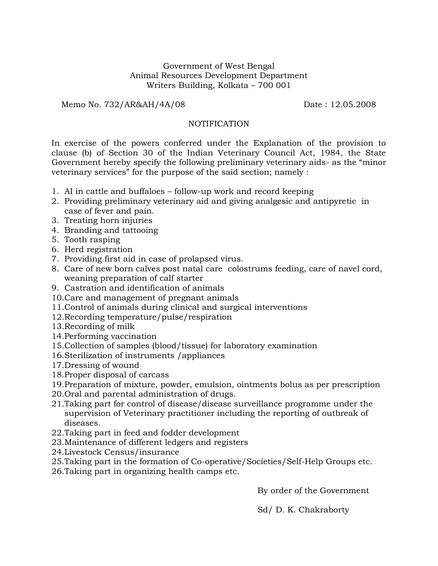## Government of West Bengal Animal Resources Development Department Writers Building, Kolkata – 700 001

Memo No. 732/AR&AH/4A/08 Date: 12.05.2008

## **NOTIFICATION**

In exercise of the powers conferred under the Explanation of the provision to clause (b) of Section 30 of the Indian Veterinary Council Act, 1984, the State Government hereby specify the following preliminary veterinary aids- as the "minor veterinary services" for the purpose of the said section; namely :

- 1. AI in cattle and buffaloes follow-up work and record keeping
- 2. Providing preliminary veterinary aid and giving analgesic and antipyretic in case of fever and pain.
- 3. Treating horn injuries
- 4. Branding and tattooing
- 5. Tooth rasping
- 6. Herd registration
- 7. Providing first aid in case of prolapsed virus.
- 8. Care of new born calves post natal care colostrums feeding, care of navel cord, weaning preparation of calf starter
- 9. Castration and identification of animals
- 10.Care and management of pregnant animals
- 11.Control of animals during clinical and surgical interventions
- 12.Recording temperature/pulse/respiration
- 13.Recording of milk
- 14.Performing vaccination
- 15.Collection of samples (blood/tissue) for laboratory examination
- 16.Sterilization of instruments /appliances
- 17.Dressing of wound
- 18.Proper disposal of carcass
- 19.Preparation of mixture, powder, emulsion, ointments bolus as per prescription
- 20.Oral and parental administration of drugs.
- 21.Taking part for control of disease/disease surveillance programme under the supervision of Veterinary practitioner including the reporting of outbreak of diseases.
- 22.Taking part in feed and fodder development
- 23.Maintenance of different ledgers and registers
- 24.Livestock Census/insurance
- 25.Taking part in the formation of Co-operative/Societies/Self-Help Groups etc.
- 26.Taking part in organizing health camps etc.

By order of the Government

Sd/ D. K. Chakraborty